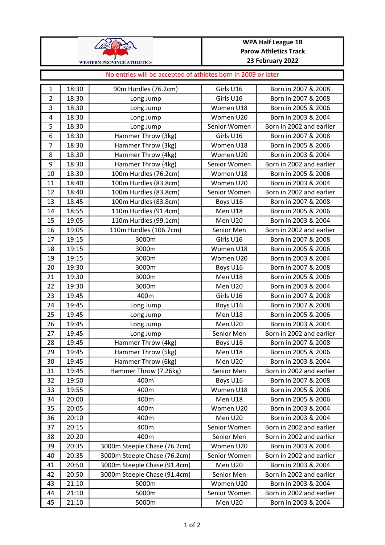

## WPA Half League 1B Parow Athletics Track 23 February 2022

## No entries will be accepted of athletes born in 2009 or later

| 1              | 18:30 | 90m Hurdles (76.2cm)         | Girls U16    | Born in 2007 & 2008      |
|----------------|-------|------------------------------|--------------|--------------------------|
| $\overline{2}$ | 18:30 | Long Jump                    | Girls U16    | Born in 2007 & 2008      |
| $\overline{3}$ | 18:30 | Long Jump                    | Women U18    | Born in 2005 & 2006      |
| 4              | 18:30 | Long Jump                    | Women U20    | Born in 2003 & 2004      |
| 5              | 18:30 | Long Jump                    | Senior Women | Born in 2002 and earlier |
| 6              | 18:30 | Hammer Throw (3kg)           | Girls U16    | Born in 2007 & 2008      |
| $\overline{7}$ | 18:30 | Hammer Throw (3kg)           | Women U18    | Born in 2005 & 2006      |
| 8              | 18:30 | Hammer Throw (4kg)           | Women U20    | Born in 2003 & 2004      |
| 9              | 18:30 | Hammer Throw (4kg)           | Senior Women | Born in 2002 and earlier |
| $10\,$         | 18:30 | 100m Hurdles (76.2cm)        | Women U18    | Born in 2005 & 2006      |
| 11             | 18:40 | 100m Hurdles (83.8cm)        | Women U20    | Born in 2003 & 2004      |
| 12             | 18:40 | 100m Hurdles (83.8cm)        | Senior Women | Born in 2002 and earlier |
| 13             | 18:45 | 100m Hurdles (83.8cm)        | Boys U16     | Born in 2007 & 2008      |
| 14             | 18:55 | 110m Hurdles (91.4cm)        | Men U18      | Born in 2005 & 2006      |
| 15             | 19:05 | 110m Hurdles (99.1cm)        | Men U20      | Born in 2003 & 2004      |
| 16             | 19:05 | 110m Hurdles (106.7cm)       | Senior Men   | Born in 2002 and earlier |
| 17             | 19:15 | 3000m                        | Girls U16    | Born in 2007 & 2008      |
| 18             | 19:15 | 3000m                        | Women U18    | Born in 2005 & 2006      |
| 19             | 19:15 | 3000m                        | Women U20    | Born in 2003 & 2004      |
| 20             | 19:30 | 3000m                        | Boys U16     | Born in 2007 & 2008      |
| 21             | 19:30 | 3000m                        | Men U18      | Born in 2005 & 2006      |
| 22             | 19:30 | 3000m                        | Men U20      | Born in 2003 & 2004      |
| 23             | 19:45 | 400m                         | Girls U16    | Born in 2007 & 2008      |
| 24             | 19:45 | Long Jump                    | Boys U16     | Born in 2007 & 2008      |
| 25             | 19:45 | Long Jump                    | Men U18      | Born in 2005 & 2006      |
| 26             | 19:45 | Long Jump                    | Men U20      | Born in 2003 & 2004      |
| 27             | 19:45 | Long Jump                    | Senior Men   | Born in 2002 and earlier |
| 28             | 19:45 | Hammer Throw (4kg)           | Boys U16     | Born in 2007 & 2008      |
| 29             | 19:45 | Hammer Throw (5kg)           | Men U18      | Born in 2005 & 2006      |
| 30             | 19:45 | Hammer Throw (6kg)           | Men U20      | Born in 2003 & 2004      |
| 31             | 19:45 | Hammer Throw (7.26kg)        | Senior Men   | Born in 2002 and earlier |
| 32             | 19:50 | 400m                         | Boys U16     | Born in 2007 & 2008      |
| 33             | 19:55 | 400m                         | Women U18    | Born in 2005 & 2006      |
| 34             | 20:00 | 400m                         | Men U18      | Born in 2005 & 2006      |
| 35             | 20:05 | 400m                         | Women U20    | Born in 2003 & 2004      |
| 36             | 20:10 | 400m                         | Men U20      | Born in 2003 & 2004      |
| 37             | 20:15 | 400m                         | Senior Women | Born in 2002 and earlier |
| 38             | 20:20 | 400m                         | Senior Men   | Born in 2002 and earlier |
| 39             | 20:35 | 3000m Steeple Chase (76.2cm) | Women U20    | Born in 2003 & 2004      |
| 40             | 20:35 | 3000m Steeple Chase (76.2cm) | Senior Women | Born in 2002 and earlier |
| 41             | 20:50 | 3000m Steeple Chase (91.4cm) | Men U20      | Born in 2003 & 2004      |
| 42             | 20:50 | 3000m Steeple Chase (91.4cm) | Senior Men   | Born in 2002 and earlier |
| 43             | 21:10 | 5000m                        | Women U20    | Born in 2003 & 2004      |
| 44             | 21:10 | 5000m                        | Senior Women | Born in 2002 and earlier |
| 45             | 21:10 | 5000m                        | Men U20      | Born in 2003 & 2004      |